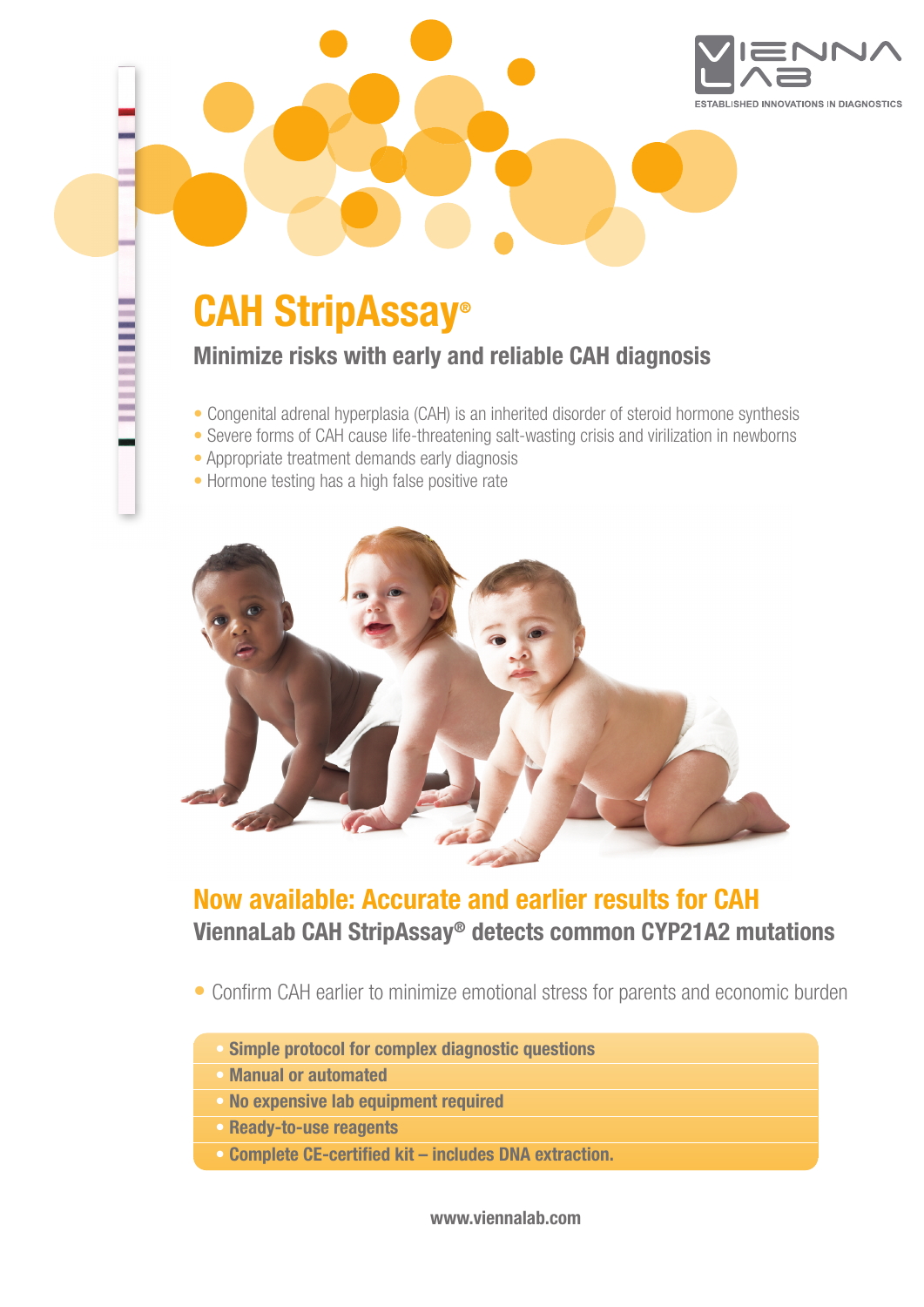

# **CAH StripAssay®**

**Minimize risks with early and reliable CAH diagnosis**

- **•** Congenital adrenal hyperplasia (CAH) is an inherited disorder of steroid hormone synthesis
- **•** Severe forms of CAH cause life-threatening salt-wasting crisis and virilization in newborns
- **•** Appropriate treatment demands early diagnosis
- **•** Hormone testing has a high false positive rate



## **Now available: Accurate and earlier results for CAH ViennaLab CAH StripAssay® detects common CYP21A2 mutations**

- **•** Confirm CAH earlier to minimize emotional stress for parents and economic burden
	- **• Simple protocol for complex diagnostic questions**
	- **• Manual or automated**
	- **• No expensive lab equipment required**
	- **• Ready-to-use reagents**
	- **• Complete CE-certified kit – includes DNA extraction.**

**www.viennalab.com**